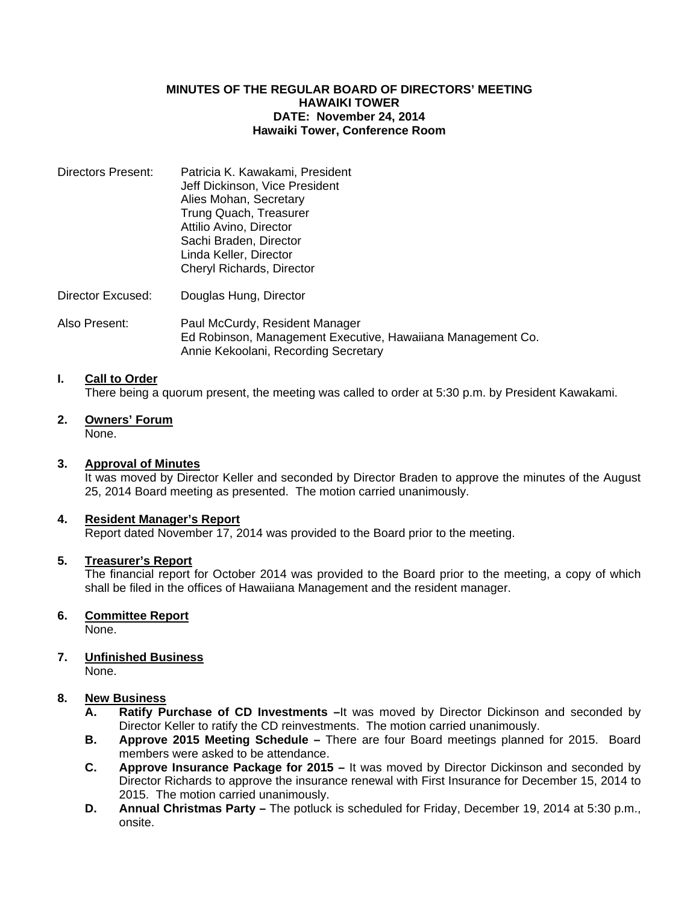## **MINUTES OF THE REGULAR BOARD OF DIRECTORS' MEETING HAWAIKI TOWER DATE: November 24, 2014 Hawaiki Tower, Conference Room**

- Directors Present: Patricia K. Kawakami, President Jeff Dickinson, Vice President Alies Mohan, Secretary Trung Quach, Treasurer Attilio Avino, Director Sachi Braden, Director Linda Keller, Director Cheryl Richards, Director
- Director Excused: Douglas Hung, Director
- Also Present: Paul McCurdy, Resident Manager Ed Robinson, Management Executive, Hawaiiana Management Co. Annie Kekoolani, Recording Secretary

# **I. Call to Order**

There being a quorum present, the meeting was called to order at 5:30 p.m. by President Kawakami.

**2. Owners' Forum** None.

## **3. Approval of Minutes**

 It was moved by Director Keller and seconded by Director Braden to approve the minutes of the August 25, 2014 Board meeting as presented. The motion carried unanimously.

#### **4. Resident Manager's Report**

Report dated November 17, 2014 was provided to the Board prior to the meeting.

#### **5. Treasurer's Report**

 The financial report for October 2014 was provided to the Board prior to the meeting, a copy of which shall be filed in the offices of Hawaiiana Management and the resident manager.

## **6. Committee Report**

None.

## **7. Unfinished Business**

None.

## **8. New Business**

- **A. Ratify Purchase of CD Investments –**It was moved by Director Dickinson and seconded by Director Keller to ratify the CD reinvestments. The motion carried unanimously.
- **B. Approve 2015 Meeting Schedule** There are four Board meetings planned for 2015. Board members were asked to be attendance.
- **C. Approve Insurance Package for 2015** It was moved by Director Dickinson and seconded by Director Richards to approve the insurance renewal with First Insurance for December 15, 2014 to 2015. The motion carried unanimously.
- **D. Annual Christmas Party –** The potluck is scheduled for Friday, December 19, 2014 at 5:30 p.m., onsite.